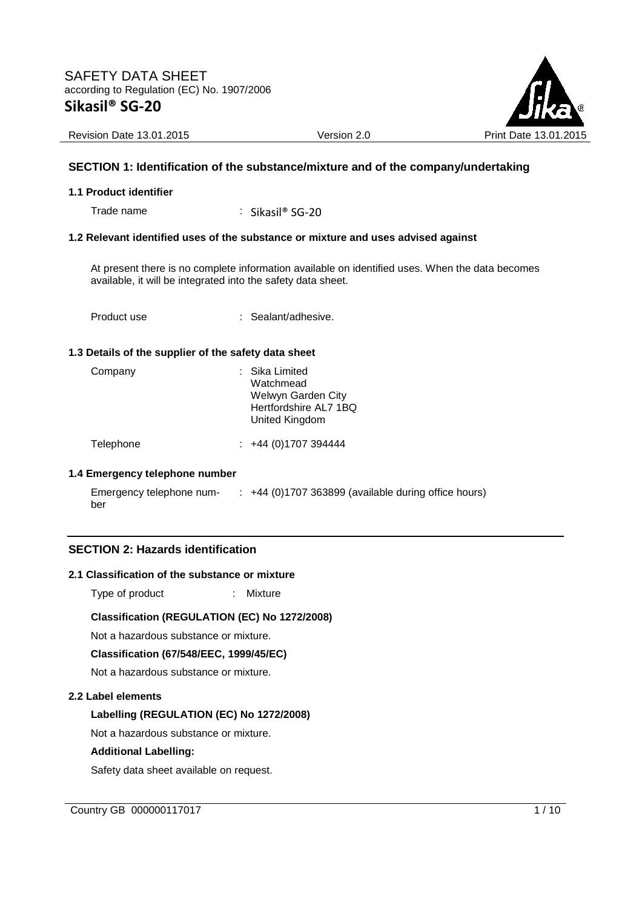

Revision Date 13.01.2015 **Version 2.0** Version 2.0 Print Date 13.01

### **SECTION 1: Identification of the substance/mixture and of the company/undertaking**

#### **1.1 Product identifier**

Trade name : Sikasil® SG-20

#### **1.2 Relevant identified uses of the substance or mixture and uses advised against**

At present there is no complete information available on identified uses. When the data becomes available, it will be integrated into the safety data sheet.

Product use : Sealant/adhesive.

#### **1.3 Details of the supplier of the safety data sheet**

| Company | : Sika Limited<br>Watchmead<br>Welwyn Garden City<br>Hertfordshire AL7 1BQ<br>United Kingdom |
|---------|----------------------------------------------------------------------------------------------|
|         |                                                                                              |

Telephone : +44 (0)1707 394444

#### **1.4 Emergency telephone number**

| Emergency telephone num- | +44 (0)1707 363899 (available during office hours) |
|--------------------------|----------------------------------------------------|
| ber                      |                                                    |

### **SECTION 2: Hazards identification**

#### **2.1 Classification of the substance or mixture**

Type of product : Mixture

### **Classification (REGULATION (EC) No 1272/2008)**

Not a hazardous substance or mixture.

**Classification (67/548/EEC, 1999/45/EC)** 

Not a hazardous substance or mixture.

#### **2.2 Label elements**

### **Labelling (REGULATION (EC) No 1272/2008)**

Not a hazardous substance or mixture.

### **Additional Labelling:**

Safety data sheet available on request.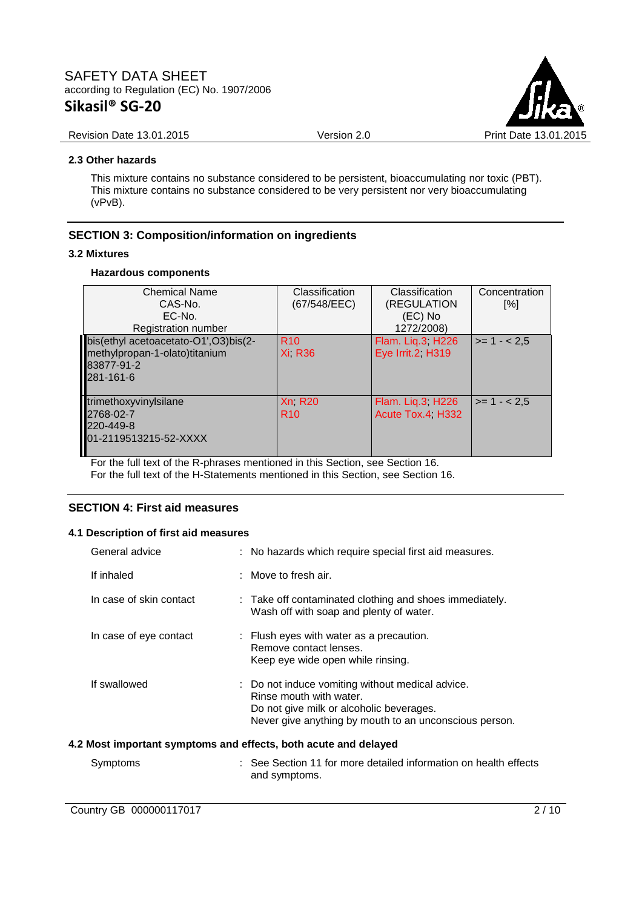

#### Revision Date 13.01.2015 **Version 2.0** Version 2.0 Print Date 13.01.2015

#### **2.3 Other hazards**

This mixture contains no substance considered to be persistent, bioaccumulating nor toxic (PBT). This mixture contains no substance considered to be very persistent nor very bioaccumulating (vPvB).

### **SECTION 3: Composition/information on ingredients**

#### **3.2 Mixtures**

#### **Hazardous components**

| <b>Chemical Name</b><br>CAS-No.<br>EC-No.<br>Registration number                                 | Classification<br>(67/548/EEC)   | Classification<br>(REGULATION<br>(EC) No<br>1272/2008) | Concentration<br>[%] |
|--------------------------------------------------------------------------------------------------|----------------------------------|--------------------------------------------------------|----------------------|
| bis(ethyl acetoacetato-O1',O3)bis(2-<br>methylpropan-1-olato)titanium<br>83877-91-2<br>281-161-6 | <b>R10</b><br><b>Xi R36</b>      | Flam. Liq.3, H226<br>Eye Irrit.2, H319                 | $>= 1 - 2.5$         |
| trimethoxyvinylsilane<br>2768-02-7<br>220-449-8<br>01-2119513215-52-XXXX                         | <b>Xn R20</b><br>R <sub>10</sub> | Flam. Lig.3; H226<br>Acute Tox.4, H332                 | $>= 1 - 2.5$         |

For the full text of the R-phrases mentioned in this Section, see Section 16. For the full text of the H-Statements mentioned in this Section, see Section 16.

### **SECTION 4: First aid measures**

#### **4.1 Description of first aid measures**

| General advice          | : No hazards which require special first aid measures.                                                                                                                            |
|-------------------------|-----------------------------------------------------------------------------------------------------------------------------------------------------------------------------------|
| If inhaled              | $\therefore$ Move to fresh air.                                                                                                                                                   |
| In case of skin contact | : Take off contaminated clothing and shoes immediately.<br>Wash off with soap and plenty of water.                                                                                |
| In case of eye contact  | : Flush eyes with water as a precaution.<br>Remove contact lenses.<br>Keep eye wide open while rinsing.                                                                           |
| If swallowed            | : Do not induce vomiting without medical advice.<br>Rinse mouth with water.<br>Do not give milk or alcoholic beverages.<br>Never give anything by mouth to an unconscious person. |
|                         | 4.2 Most important symptoms and effects, both acute and delayed                                                                                                                   |
| Symptoms                | : See Section 11 for more detailed information on health effects<br>and symptoms.                                                                                                 |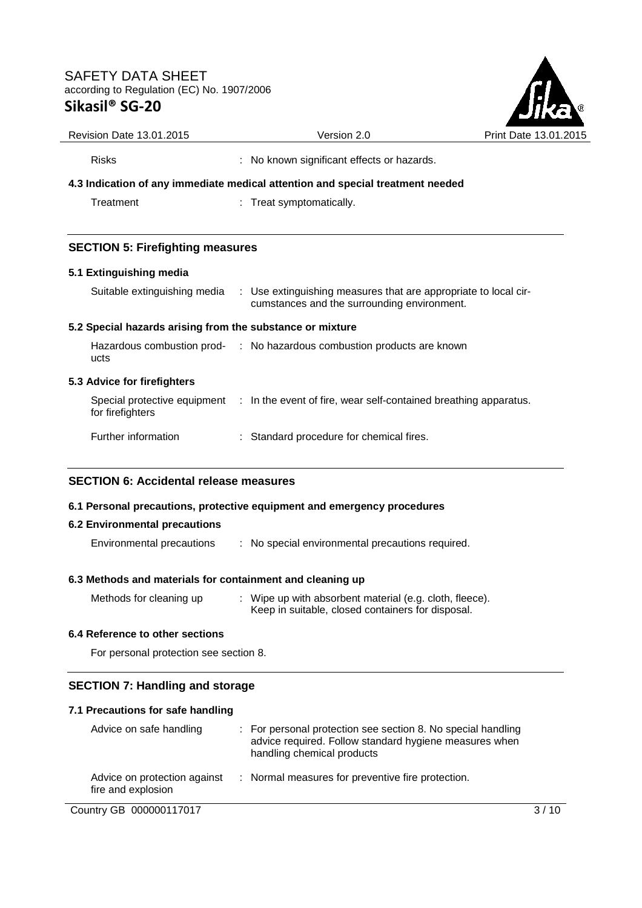

| Revision Date 13.01.2015                                  | Version 2.0                                                                                                    | Print Date 13.01.2 |
|-----------------------------------------------------------|----------------------------------------------------------------------------------------------------------------|--------------------|
| <b>Risks</b>                                              | : No known significant effects or hazards.                                                                     |                    |
|                                                           | 4.3 Indication of any immediate medical attention and special treatment needed                                 |                    |
| Treatment                                                 | : Treat symptomatically.                                                                                       |                    |
| <b>SECTION 5: Firefighting measures</b>                   |                                                                                                                |                    |
| 5.1 Extinguishing media                                   |                                                                                                                |                    |
| Suitable extinguishing media                              | : Use extinguishing measures that are appropriate to local cir-<br>cumstances and the surrounding environment. |                    |
| 5.2 Special hazards arising from the substance or mixture |                                                                                                                |                    |
| ucts                                                      | Hazardous combustion prod- : No hazardous combustion products are known                                        |                    |
| 5.3 Advice for firefighters                               |                                                                                                                |                    |
| for firefighters                                          | Special protective equipment : In the event of fire, wear self-contained breathing apparatus.                  |                    |
| Further information                                       | : Standard procedure for chemical fires.                                                                       |                    |

### **SECTION 6: Accidental release measures**

#### **6.1 Personal precautions, protective equipment and emergency procedures**

#### **6.2 Environmental precautions**

Environmental precautions : No special environmental precautions required.

### **6.3 Methods and materials for containment and cleaning up**

| Methods for cleaning up | Wipe up with absorbent material (e.g. cloth, fleece). |
|-------------------------|-------------------------------------------------------|
|                         | Keep in suitable, closed containers for disposal.     |

### **6.4 Reference to other sections**

For personal protection see section 8.

### **SECTION 7: Handling and storage**

### **7.1 Precautions for safe handling**

| Advice on safe handling                            | : For personal protection see section 8. No special handling<br>advice required. Follow standard hygiene measures when<br>handling chemical products |
|----------------------------------------------------|------------------------------------------------------------------------------------------------------------------------------------------------------|
| Advice on protection against<br>fire and explosion | : Normal measures for preventive fire protection.                                                                                                    |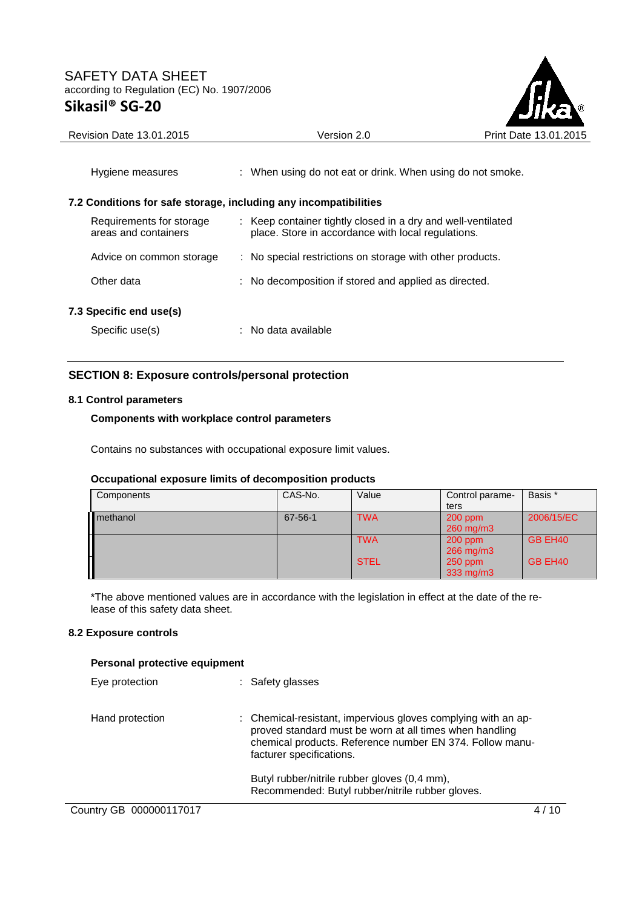

| Hygiene measures                                                 | : When using do not eat or drink. When using do not smoke.                                                         |
|------------------------------------------------------------------|--------------------------------------------------------------------------------------------------------------------|
| 7.2 Conditions for safe storage, including any incompatibilities |                                                                                                                    |
| Requirements for storage<br>areas and containers                 | : Keep container tightly closed in a dry and well-ventilated<br>place. Store in accordance with local regulations. |
| Advice on common storage                                         | : No special restrictions on storage with other products.                                                          |
| Other data                                                       | : No decomposition if stored and applied as directed.                                                              |
| 7.3 Specific end use(s)                                          |                                                                                                                    |
| Specific use(s)                                                  | ∴ No data available                                                                                                |

## **SECTION 8: Exposure controls/personal protection**

### **8.1 Control parameters**

### **Components with workplace control parameters**

Contains no substances with occupational exposure limit values.

#### **Occupational exposure limits of decomposition products**

| Components | CAS-No. | Value       | Control parame-<br>ters | Basis *    |
|------------|---------|-------------|-------------------------|------------|
| methanol   | 67-56-1 | <b>TWA</b>  | $200$ ppm<br>260 mg/m3  | 2006/15/EC |
|            |         | <b>TWA</b>  | $200$ ppm<br>266 mg/m3  | GB EH40    |
|            |         | <b>STEL</b> | $250$ ppm<br>333 mg/m3  | GB EH40    |

\*The above mentioned values are in accordance with the legislation in effect at the date of the release of this safety data sheet.

### **8.2 Exposure controls**

#### **Personal protective equipment**

| Eye protection          | : Safety glasses                                                                                                                                                                                                 |
|-------------------------|------------------------------------------------------------------------------------------------------------------------------------------------------------------------------------------------------------------|
| Hand protection         | : Chemical-resistant, impervious gloves complying with an ap-<br>proved standard must be worn at all times when handling<br>chemical products. Reference number EN 374. Follow manu-<br>facturer specifications. |
|                         | Butyl rubber/nitrile rubber gloves (0,4 mm),<br>Recommended: Butyl rubber/nitrile rubber gloves.                                                                                                                 |
| Country GB 000000117017 |                                                                                                                                                                                                                  |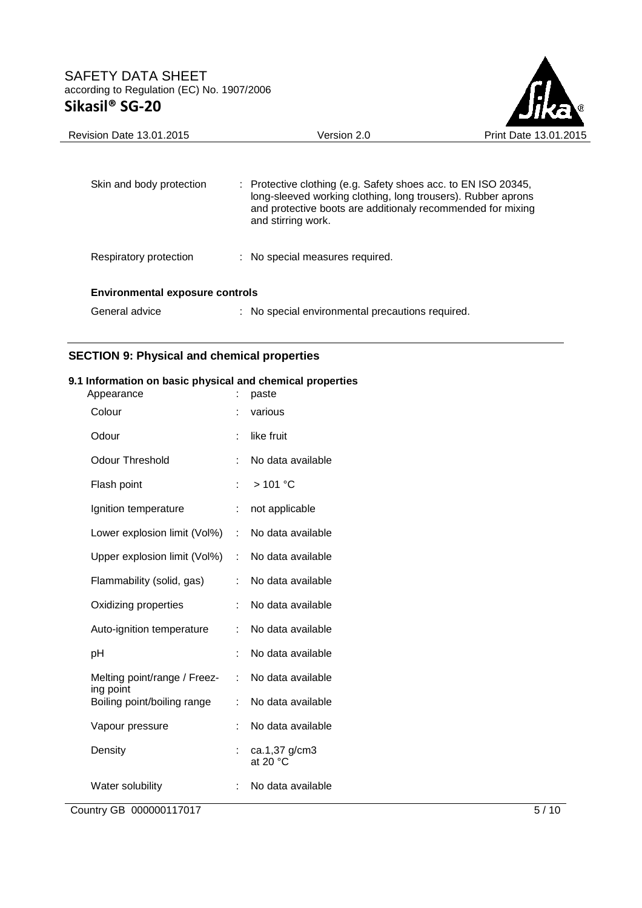

| <b>Revision Date 13.01.2015</b>        | Version 2.0                                                                                                                                                                                                                    | Print Date 13.01.2015 |
|----------------------------------------|--------------------------------------------------------------------------------------------------------------------------------------------------------------------------------------------------------------------------------|-----------------------|
| Skin and body protection               | $\therefore$ Protective clothing (e.g. Safety shoes acc. to EN ISO 20345,<br>long-sleeved working clothing, long trousers). Rubber aprons<br>and protective boots are additionaly recommended for mixing<br>and stirring work. |                       |
| Respiratory protection                 | : No special measures required.                                                                                                                                                                                                |                       |
| <b>Environmental exposure controls</b> |                                                                                                                                                                                                                                |                       |
| General advice                         | : No special environmental precautions required.                                                                                                                                                                               |                       |

# **SECTION 9: Physical and chemical properties**

# **9.1 Information on basic physical and chemical properties**

| Appearance                                |    | paste                               |
|-------------------------------------------|----|-------------------------------------|
| Colour                                    |    | various                             |
| Odour                                     | ÷  | like fruit                          |
| <b>Odour Threshold</b>                    | t  | No data available                   |
| Flash point                               |    | $>101$ °C                           |
| Ignition temperature                      | ÷  | not applicable                      |
| Lower explosion limit (Vol%)              | ÷  | No data available                   |
| Upper explosion limit (Vol%)              | ÷. | No data available                   |
| Flammability (solid, gas)                 | ÷  | No data available                   |
| Oxidizing properties                      | t  | No data available                   |
| Auto-ignition temperature                 |    | No data available                   |
| рH                                        | ÷  | No data available                   |
| Melting point/range / Freez-<br>ing point | ÷  | No data available                   |
| Boiling point/boiling range               | ÷  | No data available                   |
| Vapour pressure                           | ÷  | No data available                   |
| Density                                   |    | ca.1,37 g/cm3<br>at 20 $^{\circ}$ C |
| Water solubility                          |    | No data available                   |

**Country GB 000000117017** 5/10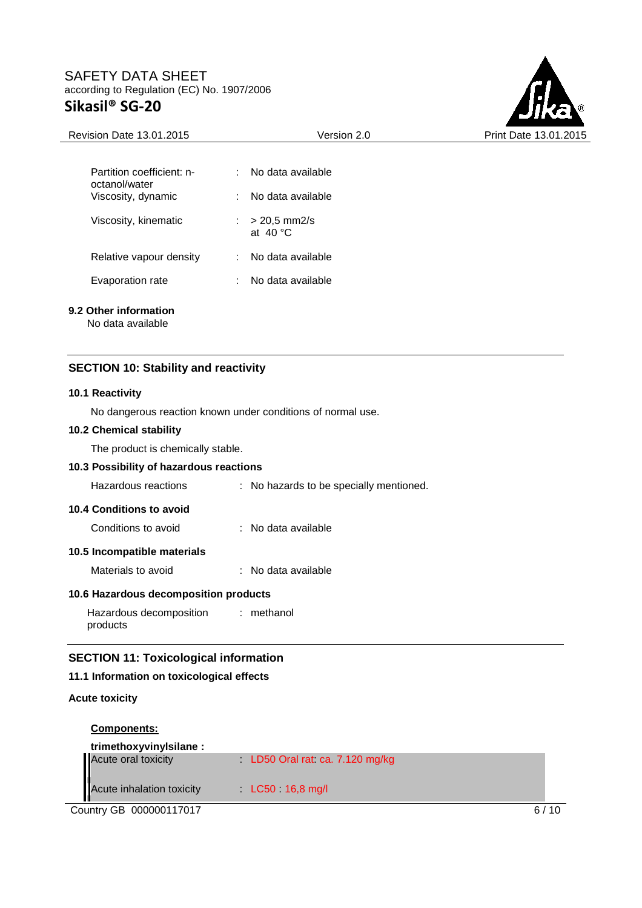

| Partition coefficient: n-<br>octanol/water<br>Viscosity, dynamic | No data available<br>No data available                             |
|------------------------------------------------------------------|--------------------------------------------------------------------|
| Viscosity, kinematic                                             | $> 20,5$ mm2/s<br>$\mathcal{L}^{\mathcal{L}}$<br>at $40^{\circ}$ C |
| Relative vapour density                                          | No data available                                                  |
| Evaporation rate                                                 | No data available                                                  |

### **9.2 Other information**

No data available

### **SECTION 10: Stability and reactivity**

#### **10.1 Reactivity**

No dangerous reaction known under conditions of normal use.

#### **10.2 Chemical stability**

The product is chemically stable.

### **10.3 Possibility of hazardous reactions**

| Hazardous reactions      | : No hazards to be specially mentioned. |
|--------------------------|-----------------------------------------|
| 10.4 Conditions to avoid |                                         |

## Conditions to avoid : No data available

### **10.5 Incompatible materials**

Materials to avoid : No data available

### **10.6 Hazardous decomposition products**

Hazardous decomposition products : methanol

### **SECTION 11: Toxicological information**

#### **11.1 Information on toxicological effects**

#### **Acute toxicity**

| <b>Components:</b>        |                               |
|---------------------------|-------------------------------|
| trimethoxyvinylsilane:    |                               |
| Acute oral toxicity       | LD50 Oral rat ca. 7.120 mg/kg |
| Acute inhalation toxicity | $LC50$ 16,8 mg/l              |

Country GB 000000117017 6/10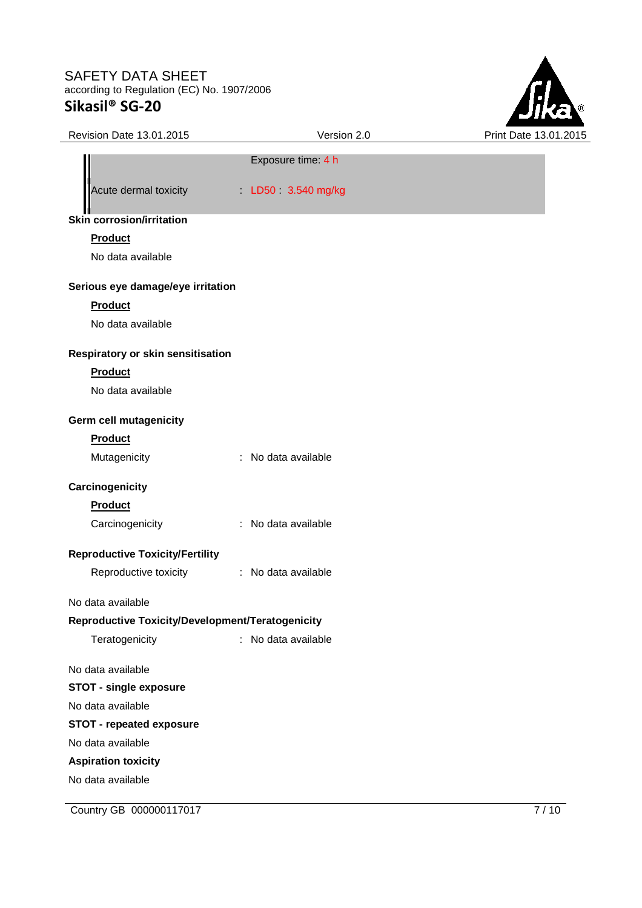

| Revision Date 13.01.2015                         | Version 2.0         | Print Date 13.01.2015 |
|--------------------------------------------------|---------------------|-----------------------|
|                                                  | Exposure time: 4 h  |                       |
| Acute dermal toxicity                            | LD50 3.540 mg/kg    |                       |
| <b>Skin corrosion/irritation</b>                 |                     |                       |
| Product                                          |                     |                       |
| No data available                                |                     |                       |
| Serious eye damage/eye irritation                |                     |                       |
| <b>Product</b>                                   |                     |                       |
| No data available                                |                     |                       |
| Respiratory or skin sensitisation                |                     |                       |
| <b>Product</b>                                   |                     |                       |
| No data available                                |                     |                       |
| <b>Germ cell mutagenicity</b>                    |                     |                       |
| Product                                          |                     |                       |
| Mutagenicity                                     | : No data available |                       |
| Carcinogenicity                                  |                     |                       |
| Product                                          |                     |                       |
| Carcinogenicity                                  | : No data available |                       |
| <b>Reproductive Toxicity/Fertility</b>           |                     |                       |
| Reproductive toxicity                            | : No data available |                       |
| No data available                                |                     |                       |
| Reproductive Toxicity/Development/Teratogenicity |                     |                       |
| Teratogenicity                                   | : No data available |                       |
| No data available                                |                     |                       |
| <b>STOT - single exposure</b>                    |                     |                       |
| No data available                                |                     |                       |
| <b>STOT - repeated exposure</b>                  |                     |                       |
| No data available                                |                     |                       |
| <b>Aspiration toxicity</b>                       |                     |                       |
| No data available                                |                     |                       |

**Country GB 000000117017** 7/10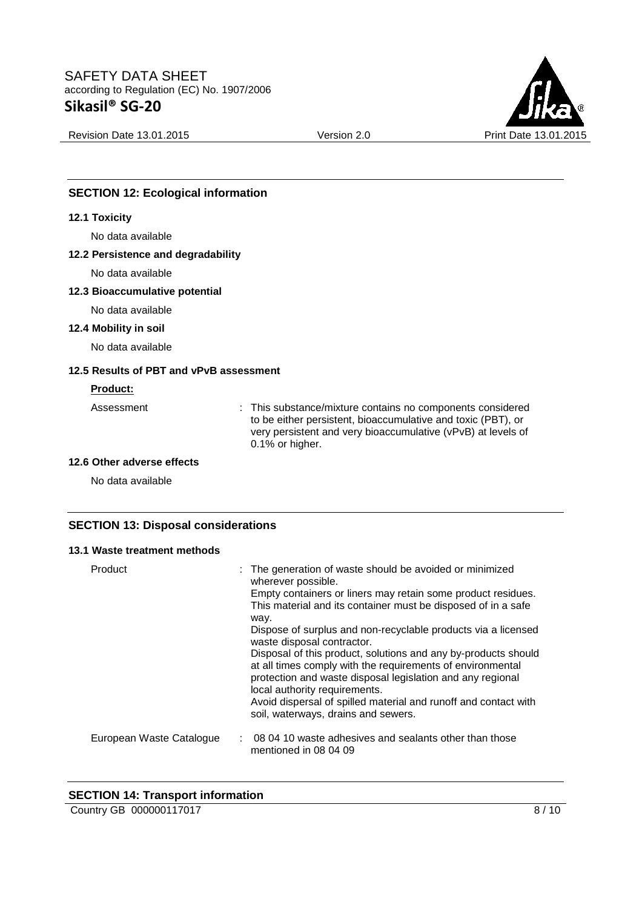

Revision Date 13.01.2015 **Version 2.0** Version 2.0 Print Date 13.01.2015

## **SECTION 12: Ecological information**

#### **12.1 Toxicity**

No data available

#### **12.2 Persistence and degradability**

No data available

### **12.3 Bioaccumulative potential**

No data available

### **12.4 Mobility in soil**

No data available

### **12.5 Results of PBT and vPvB assessment**

#### **Product:**

Assessment : This substance/mixture contains no components considered to be either persistent, bioaccumulative and toxic (PBT), or very persistent and very bioaccumulative (vPvB) at levels of 0.1% or higher.

### **12.6 Other adverse effects**

No data available

### **SECTION 13: Disposal considerations**

#### **13.1 Waste treatment methods**

| Product                  | : The generation of waste should be avoided or minimized<br>wherever possible.                                                                                                                                              |  |
|--------------------------|-----------------------------------------------------------------------------------------------------------------------------------------------------------------------------------------------------------------------------|--|
|                          | Empty containers or liners may retain some product residues.<br>This material and its container must be disposed of in a safe                                                                                               |  |
|                          | way.<br>Dispose of surplus and non-recyclable products via a licensed<br>waste disposal contractor.                                                                                                                         |  |
|                          | Disposal of this product, solutions and any by-products should<br>at all times comply with the requirements of environmental<br>protection and waste disposal legislation and any regional<br>local authority requirements. |  |
|                          | Avoid dispersal of spilled material and runoff and contact with<br>soil, waterways, drains and sewers.                                                                                                                      |  |
| European Waste Catalogue | 08 04 10 waste adhesives and sealants other than those<br>mentioned in 08 04 09                                                                                                                                             |  |

### **SECTION 14: Transport information**

Country GB 000000117017 8/10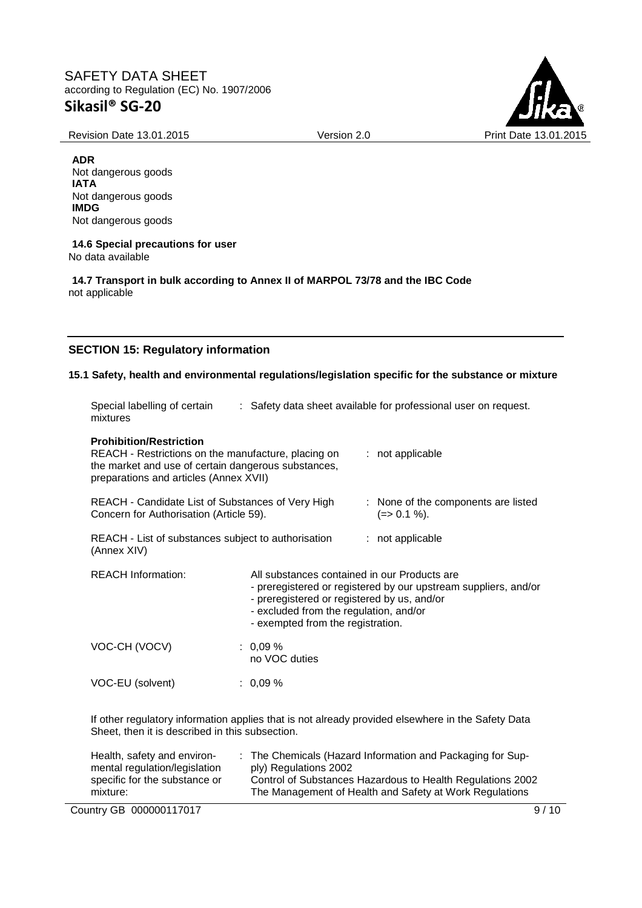Revision Date 13.01.2015 Version 2.0 Print Date 13.01.2015



**ADR** Not dangerous goods **IATA** Not dangerous goods **IMDG** Not dangerous goods

#### **14.6 Special precautions for user** No data available

**14.7 Transport in bulk according to Annex II of MARPOL 73/78 and the IBC Code** not applicable

## **SECTION 15: Regulatory information**

### **15.1 Safety, health and environmental regulations/legislation specific for the substance or mixture**

| Special labelling of certain<br>mixtures                                                                                                                                                                                       |                                                                                                                                                                                                                                               | : Safety data sheet available for professional user on request.                                   |
|--------------------------------------------------------------------------------------------------------------------------------------------------------------------------------------------------------------------------------|-----------------------------------------------------------------------------------------------------------------------------------------------------------------------------------------------------------------------------------------------|---------------------------------------------------------------------------------------------------|
| <b>Prohibition/Restriction</b><br>REACH - Restrictions on the manufacture, placing on<br>the market and use of certain dangerous substances,<br>preparations and articles (Annex XVII)                                         |                                                                                                                                                                                                                                               | : not applicable                                                                                  |
| REACH - Candidate List of Substances of Very High<br>Concern for Authorisation (Article 59).                                                                                                                                   |                                                                                                                                                                                                                                               | : None of the components are listed<br>$(=>0.1\%).$                                               |
| REACH - List of substances subject to authorisation<br>(Annex XIV)                                                                                                                                                             |                                                                                                                                                                                                                                               | : not applicable                                                                                  |
| <b>REACH Information:</b>                                                                                                                                                                                                      | All substances contained in our Products are<br>- preregistered or registered by our upstream suppliers, and/or<br>- preregistered or registered by us, and/or<br>- excluded from the regulation, and/or<br>- exempted from the registration. |                                                                                                   |
| VOC-CH (VOCV)                                                                                                                                                                                                                  | $: 0.09 \%$<br>no VOC duties                                                                                                                                                                                                                  |                                                                                                   |
| VOC-EU (solvent)                                                                                                                                                                                                               | $: 0.09 \%$                                                                                                                                                                                                                                   |                                                                                                   |
| the second contract of the contract of the contract of the contract of the contract of the contract of the contract of the contract of the contract of the contract of the contract of the contract of the contract of the con |                                                                                                                                                                                                                                               | If other regulatory information applies that is not already provided elsewhere in the Safety Data |

Sheet, then it is described in this subsection.

| Health, safety and environ-   | : The Chemicals (Hazard Information and Packaging for Sup- |
|-------------------------------|------------------------------------------------------------|
| mental regulation/legislation | ply) Regulations 2002                                      |
| specific for the substance or | Control of Substances Hazardous to Health Regulations 2002 |
| mixture:                      | The Management of Health and Safety at Work Regulations    |
|                               |                                                            |

Country GB 000000117017 9/10